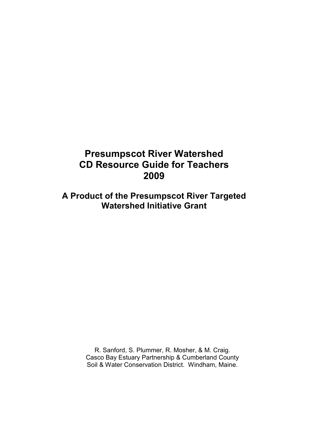## Presumpscot River Watershed CD Resource Guide for Teachers 2009

A Product of the Presumpscot River Targeted Watershed Initiative Grant

> R. Sanford, S. Plummer, R. Mosher, & M. Craig. Casco Bay Estuary Partnership & Cumberland County Soil & Water Conservation District. Windham, Maine.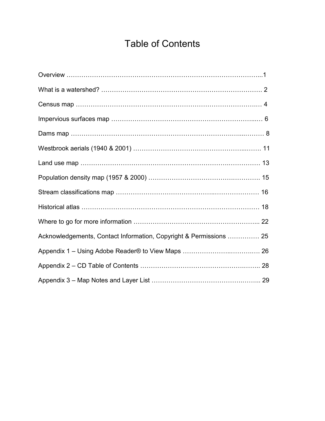# Table of Contents

| Acknowledgements, Contact Information, Copyright & Permissions  25 |  |
|--------------------------------------------------------------------|--|
|                                                                    |  |
|                                                                    |  |
|                                                                    |  |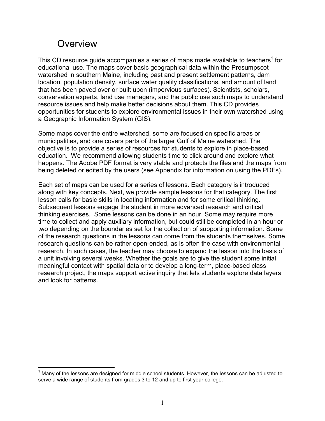# **Overview**

This CD resource guide accompanies a series of maps made available to teachers<sup>1</sup> for educational use. The maps cover basic geographical data within the Presumpscot watershed in southern Maine, including past and present settlement patterns, dam location, population density, surface water quality classifications, and amount of land that has been paved over or built upon (impervious surfaces). Scientists, scholars, conservation experts, land use managers, and the public use such maps to understand resource issues and help make better decisions about them. This CD provides opportunities for students to explore environmental issues in their own watershed using a Geographic Information System (GIS).

Some maps cover the entire watershed, some are focused on specific areas or municipalities, and one covers parts of the larger Gulf of Maine watershed. The objective is to provide a series of resources for students to explore in place-based education. We recommend allowing students time to click around and explore what happens. The Adobe PDF format is very stable and protects the files and the maps from being deleted or edited by the users (see Appendix for information on using the PDFs).

Each set of maps can be used for a series of lessons. Each category is introduced along with key concepts. Next, we provide sample lessons for that category. The first lesson calls for basic skills in locating information and for some critical thinking. Subsequent lessons engage the student in more advanced research and critical thinking exercises. Some lessons can be done in an hour. Some may require more time to collect and apply auxiliary information, but could still be completed in an hour or two depending on the boundaries set for the collection of supporting information. Some of the research questions in the lessons can come from the students themselves. Some research questions can be rather open-ended, as is often the case with environmental research. In such cases, the teacher may choose to expand the lesson into the basis of a unit involving several weeks. Whether the goals are to give the student some initial meaningful contact with spatial data or to develop a long-term, place-based class research project, the maps support active inquiry that lets students explore data layers and look for patterns.

 $\overline{a}$  $1$  Many of the lessons are designed for middle school students. However, the lessons can be adjusted to serve a wide range of students from grades 3 to 12 and up to first year college.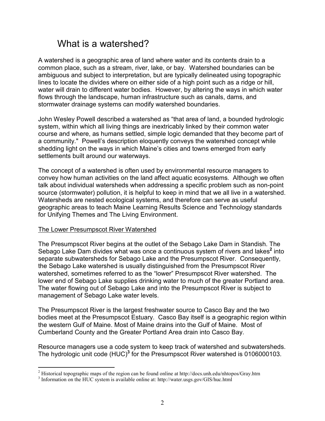## What is a watershed?

A watershed is a geographic area of land where water and its contents drain to a common place, such as a stream, river, lake, or bay. Watershed boundaries can be ambiguous and subject to interpretation, but are typically delineated using topographic lines to locate the divides where on either side of a high point such as a ridge or hill, water will drain to different water bodies. However, by altering the ways in which water flows through the landscape, human infrastructure such as canals, dams, and stormwater drainage systems can modify watershed boundaries.

John Wesley Powell described a watershed as "that area of land, a bounded hydrologic system, within which all living things are inextricably linked by their common water course and where, as humans settled, simple logic demanded that they become part of a community." Powell's description eloquently conveys the watershed concept while shedding light on the ways in which Maine's cities and towns emerged from early settlements built around our waterways.

The concept of a watershed is often used by environmental resource managers to convey how human activities on the land affect aquatic ecosystems. Although we often talk about individual watersheds when addressing a specific problem such as non-point source (stormwater) pollution, it is helpful to keep in mind that we all live in a watershed. Watersheds are nested ecological systems, and therefore can serve as useful geographic areas to teach Maine Learning Results Science and Technology standards for Unifying Themes and The Living Environment.

### The Lower Presumpscot River Watershed

The Presumpscot River begins at the outlet of the Sebago Lake Dam in Standish. The Sebago Lake Dam divides what was once a continuous system of rivers and lakes<sup>2</sup> into separate subwatersheds for Sebago Lake and the Presumpscot River. Consequently, the Sebago Lake watershed is usually distinguished from the Presumpscot River watershed, sometimes referred to as the "lower" Presumpscot River watershed. The lower end of Sebago Lake supplies drinking water to much of the greater Portland area. The water flowing out of Sebago Lake and into the Presumpscot River is subject to management of Sebago Lake water levels.

The Presumpscot River is the largest freshwater source to Casco Bay and the two bodies meet at the Presumpscot Estuary. Casco Bay itself is a geographic region within the western Gulf of Maine. Most of Maine drains into the Gulf of Maine. Most of Cumberland County and the Greater Portland Area drain into Casco Bay.

Resource managers use a code system to keep track of watershed and subwatersheds. The hydrologic unit code  $(HUC)^3$  for the Presumpscot River watershed is 0106000103.

<sup>&</sup>lt;sup>2</sup> Historical topographic maps of the region can be found online at http://docs.unh.edu/nhtopos/Gray.htm

<sup>&</sup>lt;sup>3</sup> Information on the HUC system is available online at: http://water.usgs.gov/GIS/huc.html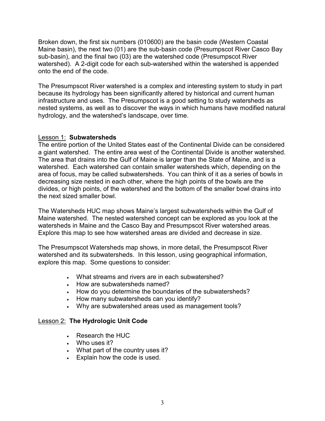Broken down, the first six numbers (010600) are the basin code (Western Coastal Maine basin), the next two (01) are the sub-basin code (Presumpscot River Casco Bay sub-basin), and the final two (03) are the watershed code (Presumpscot River watershed). A 2-digit code for each sub-watershed within the watershed is appended onto the end of the code.

The Presumpscot River watershed is a complex and interesting system to study in part because its hydrology has been significantly altered by historical and current human infrastructure and uses. The Presumpscot is a good setting to study watersheds as nested systems, as well as to discover the ways in which humans have modified natural hydrology, and the watershed's landscape, over time.

### Lesson 1: Subwatersheds

The entire portion of the United States east of the Continental Divide can be considered a giant watershed. The entire area west of the Continental Divide is another watershed. The area that drains into the Gulf of Maine is larger than the State of Maine, and is a watershed. Each watershed can contain smaller watersheds which, depending on the area of focus, may be called subwatersheds. You can think of it as a series of bowls in decreasing size nested in each other, where the high points of the bowls are the divides, or high points, of the watershed and the bottom of the smaller bowl drains into the next sized smaller bowl.

The Watersheds HUC map shows Maine's largest subwatersheds within the Gulf of Maine watershed. The nested watershed concept can be explored as you look at the watersheds in Maine and the Casco Bay and Presumpscot River watershed areas. Explore this map to see how watershed areas are divided and decrease in size.

The Presumpscot Watersheds map shows, in more detail, the Presumpscot River watershed and its subwatersheds. In this lesson, using geographical information, explore this map. Some questions to consider:

- What streams and rivers are in each subwatershed?
- How are subwatersheds named?
- How do you determine the boundaries of the subwatersheds?
- How many subwatersheds can you identify?
- Why are subwatershed areas used as management tools?

### Lesson 2: The Hydrologic Unit Code

- Research the HUC
- Who uses it?
- What part of the country uses it?
- Explain how the code is used.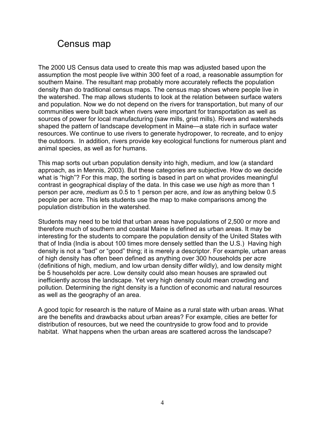## Census map

The 2000 US Census data used to create this map was adjusted based upon the assumption the most people live within 300 feet of a road, a reasonable assumption for southern Maine. The resultant map probably more accurately reflects the population density than do traditional census maps. The census map shows where people live in the watershed. The map allows students to look at the relation between surface waters and population. Now we do not depend on the rivers for transportation, but many of our communities were built back when rivers were important for transportation as well as sources of power for local manufacturing (saw mills, grist mills). Rivers and watersheds shaped the pattern of landscape development in Maine—a state rich in surface water resources. We continue to use rivers to generate hydropower, to recreate, and to enjoy the outdoors. In addition, rivers provide key ecological functions for numerous plant and animal species, as well as for humans.

This map sorts out urban population density into high, medium, and low (a standard approach, as in Mennis, 2003). But these categories are subjective. How do we decide what is "high"? For this map, the sorting is based in part on what provides meaningful contrast in geographical display of the data. In this case we use high as more than 1 person per acre, medium as 0.5 to 1 person per acre, and low as anything below 0.5 people per acre. This lets students use the map to make comparisons among the population distribution in the watershed.

Students may need to be told that urban areas have populations of 2,500 or more and therefore much of southern and coastal Maine is defined as urban areas. It may be interesting for the students to compare the population density of the United States with that of India (India is about 100 times more densely settled than the U.S.) Having high density is not a "bad" or "good" thing; it is merely a descriptor. For example, urban areas of high density has often been defined as anything over 300 households per acre (definitions of high, medium, and low urban density differ wildly), and low density might be 5 households per acre. Low density could also mean houses are sprawled out inefficiently across the landscape. Yet very high density could mean crowding and pollution. Determining the right density is a function of economic and natural resources as well as the geography of an area.

A good topic for research is the nature of Maine as a rural state with urban areas. What are the benefits and drawbacks about urban areas? For example, cities are better for distribution of resources, but we need the countryside to grow food and to provide habitat. What happens when the urban areas are scattered across the landscape?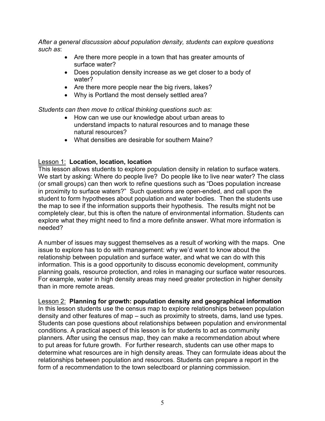After a general discussion about population density, students can explore questions such as:

- Are there more people in a town that has greater amounts of surface water?
- Does population density increase as we get closer to a body of water?
- Are there more people near the big rivers, lakes?
- Why is Portland the most densely settled area?

Students can then move to critical thinking questions such as:

- How can we use our knowledge about urban areas to understand impacts to natural resources and to manage these natural resources?
- What densities are desirable for southern Maine?

### Lesson 1: Location, location, location

This lesson allows students to explore population density in relation to surface waters. We start by asking: Where do people live? Do people like to live near water? The class (or small groups) can then work to refine questions such as "Does population increase in proximity to surface waters?" Such questions are open-ended, and call upon the student to form hypotheses about population and water bodies. Then the students use the map to see if the information supports their hypothesis. The results might not be completely clear, but this is often the nature of environmental information. Students can explore what they might need to find a more definite answer. What more information is needed?

A number of issues may suggest themselves as a result of working with the maps. One issue to explore has to do with management: why we'd want to know about the relationship between population and surface water, and what we can do with this information. This is a good opportunity to discuss economic development, community planning goals, resource protection, and roles in managing our surface water resources. For example, water in high density areas may need greater protection in higher density than in more remote areas.

Lesson 2: Planning for growth: population density and geographical information

In this lesson students use the census map to explore relationships between population density and other features of map – such as proximity to streets, dams, land use types. Students can pose questions about relationships between population and environmental conditions. A practical aspect of this lesson is for students to act as community planners. After using the census map, they can make a recommendation about where to put areas for future growth. For further research, students can use other maps to determine what resources are in high density areas. They can formulate ideas about the relationships between population and resources. Students can prepare a report in the form of a recommendation to the town selectboard or planning commission.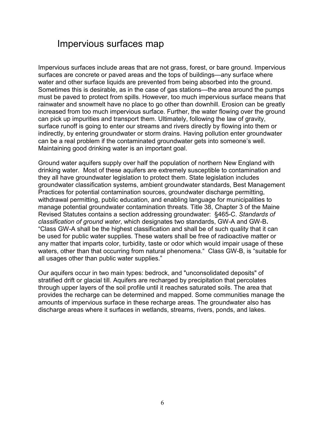## Impervious surfaces map

Impervious surfaces include areas that are not grass, forest, or bare ground. Impervious surfaces are concrete or paved areas and the tops of buildings—any surface where water and other surface liquids are prevented from being absorbed into the ground. Sometimes this is desirable, as in the case of gas stations—the area around the pumps must be paved to protect from spills. However, too much impervious surface means that rainwater and snowmelt have no place to go other than downhill. Erosion can be greatly increased from too much impervious surface. Further, the water flowing over the ground can pick up impurities and transport them. Ultimately, following the law of gravity, surface runoff is going to enter our streams and rivers directly by flowing into them or indirectly, by entering groundwater or storm drains. Having pollution enter groundwater can be a real problem if the contaminated groundwater gets into someone's well. Maintaining good drinking water is an important goal.

Ground water aquifers supply over half the population of northern New England with drinking water. Most of these aquifers are extremely susceptible to contamination and they all have groundwater legislation to protect them. State legislation includes groundwater classification systems, ambient groundwater standards, Best Management Practices for potential contamination sources, groundwater discharge permitting, withdrawal permitting, public education, and enabling language for municipalities to manage potential groundwater contamination threats. Title 38, Chapter 3 of the Maine Revised Statutes contains a section addressing groundwater: §465-C. Standards of classification of ground water, which designates two standards, GW-A and GW-B. "Class GW-A shall be the highest classification and shall be of such quality that it can be used for public water supplies. These waters shall be free of radioactive matter or any matter that imparts color, turbidity, taste or odor which would impair usage of these waters, other than that occurring from natural phenomena." Class GW-B, is "suitable for all usages other than public water supplies."

Our aquifers occur in two main types: bedrock, and "unconsolidated deposits" of stratified drift or glacial till. Aquifers are recharged by precipitation that percolates through upper layers of the soil profile until it reaches saturated soils. The area that provides the recharge can be determined and mapped. Some communities manage the amounts of impervious surface in these recharge areas. The groundwater also has discharge areas where it surfaces in wetlands, streams, rivers, ponds, and lakes.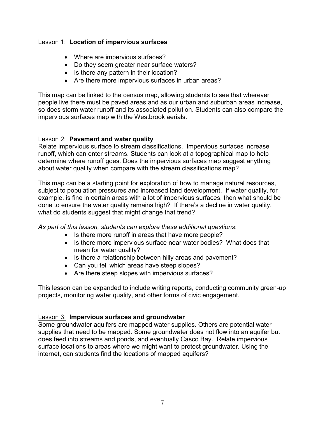### Lesson 1: Location of impervious surfaces

- Where are impervious surfaces?
- Do they seem greater near surface waters?
- Is there any pattern in their location?
- Are there more impervious surfaces in urban areas?

This map can be linked to the census map, allowing students to see that wherever people live there must be paved areas and as our urban and suburban areas increase, so does storm water runoff and its associated pollution. Students can also compare the impervious surfaces map with the Westbrook aerials.

#### Lesson 2: Pavement and water quality

Relate impervious surface to stream classifications. Impervious surfaces increase runoff, which can enter streams. Students can look at a topographical map to help determine where runoff goes. Does the impervious surfaces map suggest anything about water quality when compare with the stream classifications map?

This map can be a starting point for exploration of how to manage natural resources, subject to population pressures and increased land development. If water quality, for example, is fine in certain areas with a lot of impervious surfaces, then what should be done to ensure the water quality remains high? If there's a decline in water quality, what do students suggest that might change that trend?

As part of this lesson, students can explore these additional questions:

- Is there more runoff in areas that have more people?
- Is there more impervious surface near water bodies? What does that mean for water quality?
- Is there a relationship between hilly areas and pavement?
- Can you tell which areas have steep slopes?
- Are there steep slopes with impervious surfaces?

This lesson can be expanded to include writing reports, conducting community green-up projects, monitoring water quality, and other forms of civic engagement.

### **Lesson 3: Impervious surfaces and groundwater**

Some groundwater aquifers are mapped water supplies. Others are potential water supplies that need to be mapped. Some groundwater does not flow into an aquifer but does feed into streams and ponds, and eventually Casco Bay. Relate impervious surface locations to areas where we might want to protect groundwater. Using the internet, can students find the locations of mapped aquifers?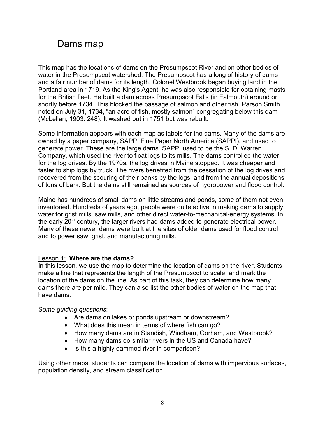# Dams map

This map has the locations of dams on the Presumpscot River and on other bodies of water in the Presumpscot watershed. The Presumpscot has a long of history of dams and a fair number of dams for its length. Colonel Westbrook began buying land in the Portland area in 1719. As the King's Agent, he was also responsible for obtaining masts for the British fleet. He built a dam across Presumpscot Falls (in Falmouth) around or shortly before 1734. This blocked the passage of salmon and other fish. Parson Smith noted on July 31, 1734, "an acre of fish, mostly salmon" congregating below this dam (McLellan, 1903: 248). It washed out in 1751 but was rebuilt.

Some information appears with each map as labels for the dams. Many of the dams are owned by a paper company, SAPPI Fine Paper North America (SAPPI), and used to generate power. These are the large dams. SAPPI used to be the S. D. Warren Company, which used the river to float logs to its mills. The dams controlled the water for the log drives. By the 1970s, the log drives in Maine stopped. It was cheaper and faster to ship logs by truck. The rivers benefited from the cessation of the log drives and recovered from the scouring of their banks by the logs, and from the annual depositions of tons of bark. But the dams still remained as sources of hydropower and flood control.

Maine has hundreds of small dams on little streams and ponds, some of them not even inventoried. Hundreds of years ago, people were quite active in making dams to supply water for grist mills, saw mills, and other direct water-to-mechanical-energy systems. In the early  $20<sup>th</sup>$  century, the larger rivers had dams added to generate electrical power. Many of these newer dams were built at the sites of older dams used for flood control and to power saw, grist, and manufacturing mills.

### Lesson 1: Where are the dams?

In this lesson, we use the map to determine the location of dams on the river. Students make a line that represents the length of the Presumpscot to scale, and mark the location of the dams on the line. As part of this task, they can determine how many dams there are per mile. They can also list the other bodies of water on the map that have dams.

#### Some guiding questions:

- Are dams on lakes or ponds upstream or downstream?
- What does this mean in terms of where fish can go?
- How many dams are in Standish, Windham, Gorham, and Westbrook?
- How many dams do similar rivers in the US and Canada have?
- Is this a highly dammed river in comparison?

Using other maps, students can compare the location of dams with impervious surfaces, population density, and stream classification.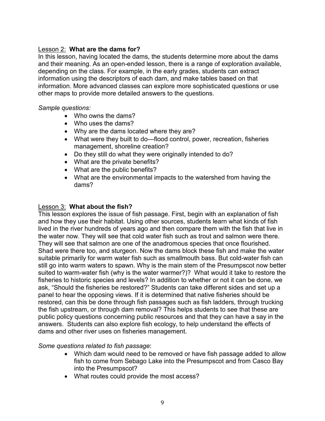### Lesson 2: What are the dams for?

In this lesson, having located the dams, the students determine more about the dams and their meaning. As an open-ended lesson, there is a range of exploration available, depending on the class. For example, in the early grades, students can extract information using the descriptors of each dam, and make tables based on that information. More advanced classes can explore more sophisticated questions or use other maps to provide more detailed answers to the questions.

#### Sample questions:

- Who owns the dams?
- Who uses the dams?
- Why are the dams located where they are?
- What were they built to do—flood control, power, recreation, fisheries management, shoreline creation?
- Do they still do what they were originally intended to do?
- What are the private benefits?
- What are the public benefits?
- What are the environmental impacts to the watershed from having the dams?

#### Lesson 3: What about the fish?

This lesson explores the issue of fish passage. First, begin with an explanation of fish and how they use their habitat. Using other sources, students learn what kinds of fish lived in the river hundreds of years ago and then compare them with the fish that live in the water now. They will see that cold water fish such as trout and salmon were there. They will see that salmon are one of the anadromous species that once flourished. Shad were there too, and sturgeon. Now the dams block these fish and make the water suitable primarily for warm water fish such as smallmouth bass. But cold-water fish can still go into warm waters to spawn. Why is the main stem of the Presumpscot now better suited to warm-water fish (why is the water warmer?)? What would it take to restore the fisheries to historic species and levels? In addition to whether or not it can be done, we ask, "Should the fisheries be restored?" Students can take different sides and set up a panel to hear the opposing views. If it is determined that native fisheries should be restored, can this be done through fish passages such as fish ladders, through trucking the fish upstream, or through dam removal? This helps students to see that these are public policy questions concerning public resources and that they can have a say in the answers. Students can also explore fish ecology, to help understand the effects of dams and other river uses on fisheries management.

Some questions related to fish passage:

- Which dam would need to be removed or have fish passage added to allow fish to come from Sebago Lake into the Presumpscot and from Casco Bay into the Presumpscot?
- What routes could provide the most access?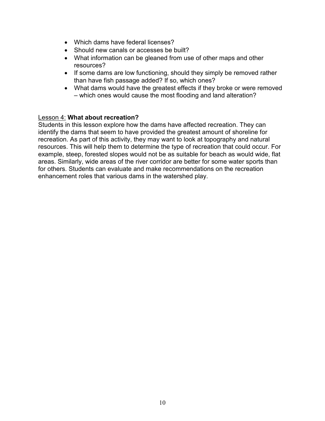- Which dams have federal licenses?
- Should new canals or accesses be built?
- What information can be gleaned from use of other maps and other resources?
- If some dams are low functioning, should they simply be removed rather than have fish passage added? If so, which ones?
- What dams would have the greatest effects if they broke or were removed – which ones would cause the most flooding and land alteration?

#### Lesson 4: What about recreation?

Students in this lesson explore how the dams have affected recreation. They can identify the dams that seem to have provided the greatest amount of shoreline for recreation. As part of this activity, they may want to look at topography and natural resources. This will help them to determine the type of recreation that could occur. For example, steep, forested slopes would not be as suitable for beach as would wide, flat areas. Similarly, wide areas of the river corridor are better for some water sports than for others. Students can evaluate and make recommendations on the recreation enhancement roles that various dams in the watershed play.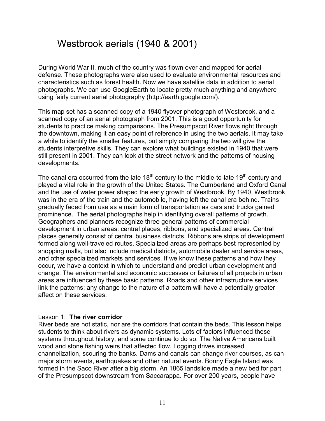## Westbrook aerials (1940 & 2001)

During World War II, much of the country was flown over and mapped for aerial defense. These photographs were also used to evaluate environmental resources and characteristics such as forest health. Now we have satellite data in addition to aerial photographs. We can use GoogleEarth to locate pretty much anything and anywhere using fairly current aerial photography (http://earth.google.com/).

This map set has a scanned copy of a 1940 flyover photograph of Westbrook, and a scanned copy of an aerial photograph from 2001. This is a good opportunity for students to practice making comparisons. The Presumpscot River flows right through the downtown, making it an easy point of reference in using the two aerials. It may take a while to identify the smaller features, but simply comparing the two will give the students interpretive skills. They can explore what buildings existed in 1940 that were still present in 2001. They can look at the street network and the patterns of housing developments.

The canal era occurred from the late  $18<sup>th</sup>$  century to the middle-to-late  $19<sup>th</sup>$  century and played a vital role in the growth of the United States. The Cumberland and Oxford Canal and the use of water power shaped the early growth of Westbrook. By 1940, Westbrook was in the era of the train and the automobile, having left the canal era behind. Trains gradually faded from use as a main form of transportation as cars and trucks gained prominence. The aerial photographs help in identifying overall patterns of growth. Geographers and planners recognize three general patterns of commercial development in urban areas: central places, ribbons, and specialized areas. Central places generally consist of central business districts. Ribbons are strips of development formed along well-traveled routes. Specialized areas are perhaps best represented by shopping malls, but also include medical districts, automobile dealer and service areas, and other specialized markets and services. If we know these patterns and how they occur, we have a context in which to understand and predict urban development and change. The environmental and economic successes or failures of all projects in urban areas are influenced by these basic patterns. Roads and other infrastructure services link the patterns; any change to the nature of a pattern will have a potentially greater affect on these services.

#### Lesson 1: The river corridor

River beds are not static, nor are the corridors that contain the beds. This lesson helps students to think about rivers as dynamic systems. Lots of factors influenced these systems throughout history, and some continue to do so. The Native Americans built wood and stone fishing weirs that affected flow. Logging drives increased channelization, scouring the banks. Dams and canals can change river courses, as can major storm events, earthquakes and other natural events. Bonny Eagle Island was formed in the Saco River after a big storm. An 1865 landslide made a new bed for part of the Presumpscot downstream from Saccarappa. For over 200 years, people have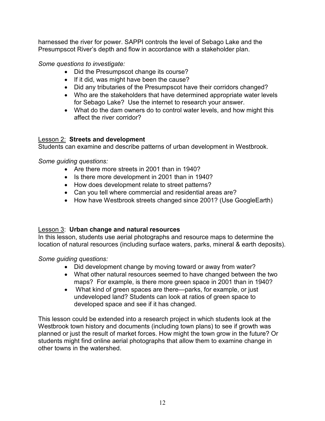harnessed the river for power. SAPPI controls the level of Sebago Lake and the Presumpscot River's depth and flow in accordance with a stakeholder plan.

Some questions to investigate:

- Did the Presumpscot change its course?
- If it did, was might have been the cause?
- Did any tributaries of the Presumpscot have their corridors changed?
- Who are the stakeholders that have determined appropriate water levels for Sebago Lake? Use the internet to research your answer.
- What do the dam owners do to control water levels, and how might this affect the river corridor?

## Lesson 2: Streets and development

Students can examine and describe patterns of urban development in Westbrook.

Some guiding questions:

- Are there more streets in 2001 than in 1940?
- Is there more development in 2001 than in 1940?
- How does development relate to street patterns?
- Can you tell where commercial and residential areas are?
- How have Westbrook streets changed since 2001? (Use GoogleEarth)

## Lesson 3: Urban change and natural resources

In this lesson, students use aerial photographs and resource maps to determine the location of natural resources (including surface waters, parks, mineral & earth deposits).

Some guiding questions:

- Did development change by moving toward or away from water?
- What other natural resources seemed to have changed between the two maps? For example, is there more green space in 2001 than in 1940?
- What kind of green spaces are there—parks, for example, or just undeveloped land? Students can look at ratios of green space to developed space and see if it has changed.

This lesson could be extended into a research project in which students look at the Westbrook town history and documents (including town plans) to see if growth was planned or just the result of market forces. How might the town grow in the future? Or students might find online aerial photographs that allow them to examine change in other towns in the watershed.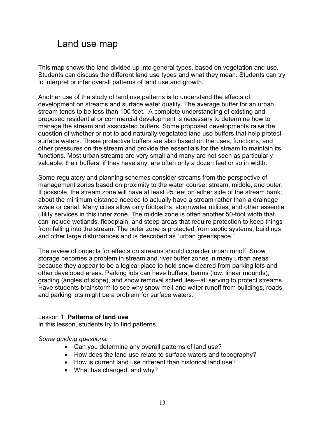## Land use map

This map shows the land divided up into general types, based on vegetation and use. Students can discuss the different land use types and what they mean. Students can try to interpret or infer overall patterns of land use and growth.

Another use of the study of land use patterns is to understand the effects of development on streams and surface water quality. The average buffer for an urban stream tends to be less than 100 feet. A complete understanding of existing and proposed residential or commercial development is necessary to determine how to manage the stream and associated buffers. Some proposed developments raise the question of whether or not to add naturally vegetated land use buffers that help protect surface waters. These protective buffers are also based on the uses, functions, and other pressures on the stream and provide the essentials for the stream to maintain its functions. Most urban streams are very small and many are not seen as particularly valuable; their buffers, if they have any, are often only a dozen feet or so in width.

Some regulatory and planning schemes consider streams from the perspective of management zones based on proximity to the water course: stream, middle, and outer. If possible, the stream zone will have at least 25 feet on either side of the stream bank; about the minimum distance needed to actually have a stream rather than a drainage swale or canal. Many cities allow only footpaths, stormwater utilities, and other essential utility services in this inner zone. The middle zone is often another 50-foot width that can include wetlands, floodplain, and steep areas that require protection to keep things from falling into the stream. The outer zone is protected from septic systems, buildings and other large disturbances and is described as "urban greenspace."

The review of projects for effects on streams should consider urban runoff. Snow storage becomes a problem in stream and river buffer zones in many urban areas because they appear to be a logical place to hold snow cleared from parking lots and other developed areas. Parking lots can have buffers, berms (low, linear mounds), grading (angles of slope), and snow removal schedules—all serving to protect streams. Have students brainstorm to see why snow melt and water runoff from buildings, roads, and parking lots might be a problem for surface waters.

#### Lesson 1: Patterns of land use

In this lesson, students try to find patterns.

Some guiding questions:

- Can you determine any overall patterns of land use?
- How does the land use relate to surface waters and topography?
- How is current land use different than historical land use?
- What has changed, and why?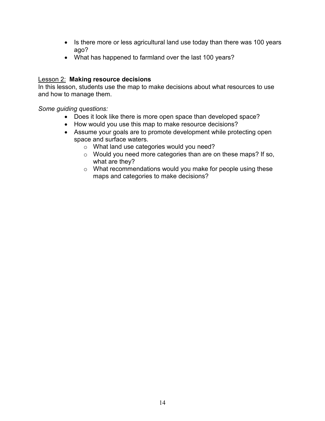- Is there more or less agricultural land use today than there was 100 years ago?
- What has happened to farmland over the last 100 years?

#### Lesson 2: Making resource decisions

In this lesson, students use the map to make decisions about what resources to use and how to manage them.

Some guiding questions:

- Does it look like there is more open space than developed space?
- How would you use this map to make resource decisions?
- Assume your goals are to promote development while protecting open space and surface waters.
	- o What land use categories would you need?
	- o Would you need more categories than are on these maps? If so, what are they?
	- o What recommendations would you make for people using these maps and categories to make decisions?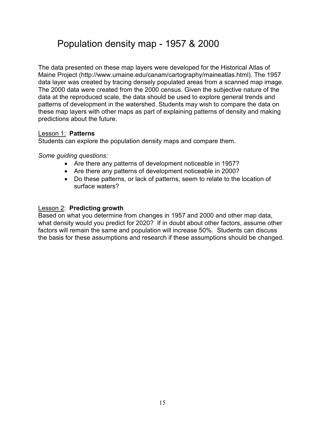## Population density map - 1957 & 2000

The data presented on these map layers were developed for the Historical Atlas of Maine Project (http://www.umaine.edu/canam/cartography/maineatlas.html). The 1957 data layer was created by tracing densely populated areas from a scanned map image. The 2000 data were created from the 2000 census. Given the subjective nature of the data at the reproduced scale, the data should be used to explore general trends and patterns of development in the watershed. Students may wish to compare the data on these map layers with other maps as part of explaining patterns of density and making predictions about the future.

### Lesson 1: Patterns

Students can explore the population density maps and compare them.

### Some guiding questions:

- Are there any patterns of development noticeable in 1957?
- Are there any patterns of development noticeable in 2000?
- Do these patterns, or lack of patterns, seem to relate to the location of surface waters?

### Lesson 2: Predicting growth

Based on what you determine from changes in 1957 and 2000 and other map data, what density would you predict for 2020? If in doubt about other factors, assume other factors will remain the same and population will increase 50%. Students can discuss the basis for these assumptions and research if these assumptions should be changed.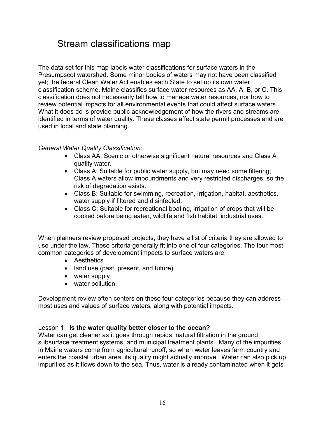## Stream classifications map

The data set for this map labels water classifications for surface waters in the Presumpscot watershed. Some minor bodies of waters may not have been classified yet; the federal Clean Water Act enables each State to set up its own water classification scheme. Maine classifies surface water resources as AA, A, B, or C. This classification does not necessarily tell how to manage water resources, nor how to review potential impacts for all environmental events that could affect surface waters. What it does do is provide public acknowledgement of how the rivers and streams are identified in terms of water quality. These classes affect state permit processes and are used in local and state planning.

### General Water Quality Classification:

- Class AA: Scenic or otherwise significant natural resources and Class A quality water.
- Class A: Suitable for public water supply, but may need some filtering; Class A waters allow impoundments and very restricted discharges, so the risk of degradation exists.
- Class B: Suitable for swimming, recreation, irrigation, habitat, aesthetics, water supply if filtered and disinfected.
- Class C: Suitable for recreational boating, irrigation of crops that will be cooked before being eaten, wildlife and fish habitat, industrial uses.

When planners review proposed projects, they have a list of criteria they are allowed to use under the law. These criteria generally fit into one of four categories. The four most common categories of development impacts to surface waters are:

- Aesthetics
- land use (past, present, and future)
- water supply
- water pollution.

Development review often centers on these four categories because they can address most uses and values of surface waters, along with potential impacts.

#### Lesson 1: Is the water quality better closer to the ocean?

Water can get cleaner as it goes through rapids, natural filtration in the ground, subsurface treatment systems, and municipal treatment plants. Many of the impurities in Maine waters come from agricultural runoff, so when water leaves farm country and enters the coastal urban area, its quality might actually improve. Water can also pick up impurities as it flows down to the sea. Thus, water is already contaminated when it gets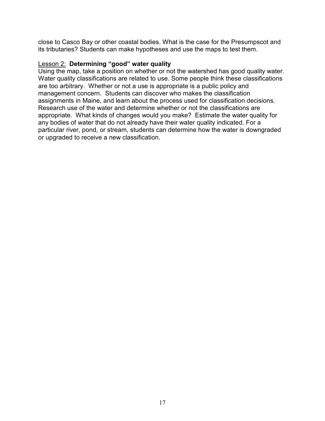close to Casco Bay or other coastal bodies. What is the case for the Presumpscot and its tributaries? Students can make hypotheses and use the maps to test them.

#### **Lesson 2: Determining "good" water quality**

Using the map, take a position on whether or not the watershed has good quality water. Water quality classifications are related to use. Some people think these classifications are too arbitrary. Whether or not a use is appropriate is a public policy and management concern. Students can discover who makes the classification assignments in Maine, and learn about the process used for classification decisions. Research use of the water and determine whether or not the classifications are appropriate. What kinds of changes would you make? Estimate the water quality for any bodies of water that do not already have their water quality indicated. For a particular river, pond, or stream, students can determine how the water is downgraded or upgraded to receive a new classification.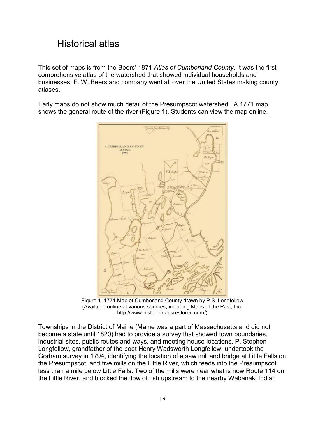# Historical atlas

This set of maps is from the Beers' 1871 Atlas of Cumberland County. It was the first comprehensive atlas of the watershed that showed individual households and businesses. F. W. Beers and company went all over the United States making county atlases.

Early maps do not show much detail of the Presumpscot watershed. A 1771 map shows the general route of the river (Figure 1). Students can view the map online.



Figure 1. 1771 Map of Cumberland County drawn by P.S. Longfellow (Available online at various sources, including Maps of the Past, Inc. http://www.historicmapsrestored.com/)

Townships in the District of Maine (Maine was a part of Massachusetts and did not become a state until 1820) had to provide a survey that showed town boundaries, industrial sites, public routes and ways, and meeting house locations. P. Stephen Longfellow, grandfather of the poet Henry Wadsworth Longfellow, undertook the Gorham survey in 1794, identifying the location of a saw mill and bridge at Little Falls on the Presumpscot, and five mills on the Little River, which feeds into the Presumpscot less than a mile below Little Falls. Two of the mills were near what is now Route 114 on the Little River, and blocked the flow of fish upstream to the nearby Wabanaki Indian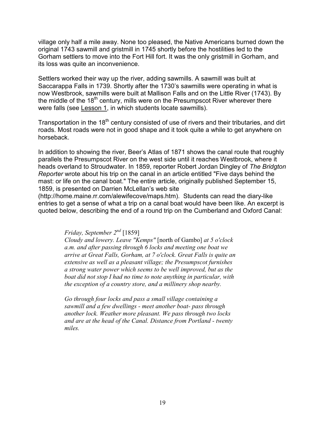village only half a mile away. None too pleased, the Native Americans burned down the original 1743 sawmill and gristmill in 1745 shortly before the hostilities led to the Gorham settlers to move into the Fort Hill fort. It was the only gristmill in Gorham, and its loss was quite an inconvenience.

Settlers worked their way up the river, adding sawmills. A sawmill was built at Saccarappa Falls in 1739. Shortly after the 1730's sawmills were operating in what is now Westbrook, sawmills were built at Mallison Falls and on the Little River (1743). By the middle of the  $18<sup>th</sup>$  century, mills were on the Presumpscot River wherever there were falls (see Lesson 1, in which students locate sawmills).

Transportation in the 18<sup>th</sup> century consisted of use of rivers and their tributaries, and dirt roads. Most roads were not in good shape and it took quite a while to get anywhere on horseback.

In addition to showing the river, Beer's Atlas of 1871 shows the canal route that roughly parallels the Presumpscot River on the west side until it reaches Westbrook, where it heads overland to Stroudwater. In 1859, reporter Robert Jordan Dingley of The Bridgton Reporter wrote about his trip on the canal in an article entitled "Five days behind the mast: or life on the canal boat." The entire article, originally published September 15, 1859, is presented on Darrien McLellan's web site

(http://home.maine.rr.com/alewifecove/maps.htm). Students can read the diary-like entries to get a sense of what a trip on a canal boat would have been like. An excerpt is quoted below, describing the end of a round trip on the Cumberland and Oxford Canal:

Friday, September  $2^{nd}$  [1859]

Cloudy and lowery. Leave "Kemps" [north of Gambo] at 5 o'clock a.m. and after passing through 6 locks and meeting one boat we arrive at Great Falls, Gorham, at 7 o'clock. Great Falls is quite an extensive as well as a pleasant village; the Presumpscot furnishes a strong water power which seems to be well improved, but as the boat did not stop I had no time to note anything in particular, with the exception of a country store, and a millinery shop nearby.

Go through four locks and pass a small village containing a sawmill and a few dwellings - meet another boat- pass through another lock. Weather more pleasant. We pass through two locks and are at the head of the Canal. Distance from Portland - twenty miles.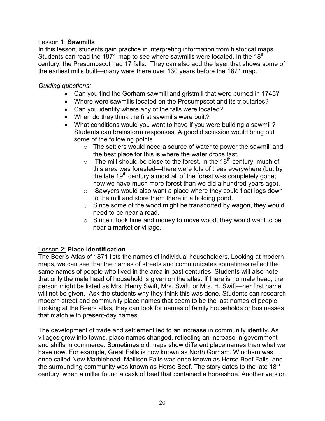#### Lesson 1: Sawmills

In this lesson, students gain practice in interpreting information from historical maps. Students can read the 1871 map to see where sawmills were located. In the 18<sup>th</sup> century, the Presumpscot had 17 falls. They can also add the layer that shows some of the earliest mills built—many were there over 130 years before the 1871 map.

### Guiding questions:

- Can you find the Gorham sawmill and gristmill that were burned in 1745?
- Where were sawmills located on the Presumpscot and its tributaries?
- Can you identify where any of the falls were located?
- When do they think the first sawmills were built?
- What conditions would you want to have if you were building a sawmill? Students can brainstorm responses. A good discussion would bring out some of the following points.
	- $\circ$  The settlers would need a source of water to power the sawmill and the best place for this is where the water drops fast.
	- $\circ$  The mill should be close to the forest. In the 18<sup>th</sup> century, much of this area was forested—there were lots of trees everywhere (but by the late  $19<sup>th</sup>$  century almost all of the forest was completely gone; now we have much more forest than we did a hundred years ago).
	- o Sawyers would also want a place where they could float logs down to the mill and store them there in a holding pond.
	- o Since some of the wood might be transported by wagon, they would need to be near a road.
	- $\circ$  Since it took time and money to move wood, they would want to be near a market or village.

### Lesson 2: Place identification

The Beer's Atlas of 1871 lists the names of individual householders. Looking at modern maps, we can see that the names of streets and communicates sometimes reflect the same names of people who lived in the area in past centuries. Students will also note that only the male head of household is given on the atlas. If there is no male head, the person might be listed as Mrs. Henry Swift, Mrs. Swift, or Mrs. H. Swift—her first name will not be given. Ask the students why they think this was done. Students can research modern street and community place names that seem to be the last names of people. Looking at the Beers atlas, they can look for names of family households or businesses that match with present-day names.

The development of trade and settlement led to an increase in community identity. As villages grew into towns, place names changed, reflecting an increase in government and shifts in commerce. Sometimes old maps show different place names than what we have now. For example, Great Falls is now known as North Gorham. Windham was once called New Marblehead. Mallison Falls was once known as Horse Beef Falls, and the surrounding community was known as Horse Beef. The story dates to the late  $18<sup>th</sup>$ century, when a miller found a cask of beef that contained a horseshoe. Another version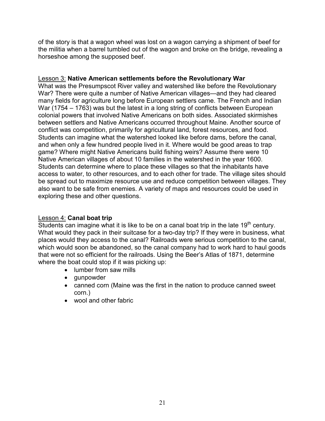of the story is that a wagon wheel was lost on a wagon carrying a shipment of beef for the militia when a barrel tumbled out of the wagon and broke on the bridge, revealing a horseshoe among the supposed beef.

#### **Lesson 3: Native American settlements before the Revolutionary War**

What was the Presumpscot River valley and watershed like before the Revolutionary War? There were quite a number of Native American villages—and they had cleared many fields for agriculture long before European settlers came. The French and Indian War (1754 – 1763) was but the latest in a long string of conflicts between European colonial powers that involved Native Americans on both sides. Associated skirmishes between settlers and Native Americans occurred throughout Maine. Another source of conflict was competition, primarily for agricultural land, forest resources, and food. Students can imagine what the watershed looked like before dams, before the canal, and when only a few hundred people lived in it. Where would be good areas to trap game? Where might Native Americans build fishing weirs? Assume there were 10 Native American villages of about 10 families in the watershed in the year 1600. Students can determine where to place these villages so that the inhabitants have access to water, to other resources, and to each other for trade. The village sites should be spread out to maximize resource use and reduce competition between villages. They also want to be safe from enemies. A variety of maps and resources could be used in exploring these and other questions.

### Lesson 4: Canal boat trip

Students can imagine what it is like to be on a canal boat trip in the late  $19<sup>th</sup>$  century. What would they pack in their suitcase for a two-day trip? If they were in business, what places would they access to the canal? Railroads were serious competition to the canal, which would soon be abandoned, so the canal company had to work hard to haul goods that were not so efficient for the railroads. Using the Beer's Atlas of 1871, determine where the boat could stop if it was picking up:

- lumber from saw mills
- gunpowder
- canned corn (Maine was the first in the nation to produce canned sweet corn.)
- wool and other fabric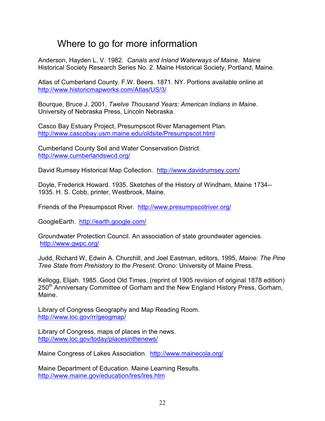## Where to go for more information

Anderson, Hayden L. V. 1982. Canals and Inland Waterways of Maine. Maine Historical Society Research Series No. 2. Maine Historical Society, Portland, Maine.

Atlas of Cumberland County. F.W. Beers. 1871. NY. Portions available online at http://www.historicmapworks.com/Atlas/US/3/

Bourque, Bruce J. 2001. Twelve Thousand Years: American Indians in Maine. University of Nebraska Press, Lincoln Nebraska.

Casco Bay Estuary Project, Presumpscot River Management Plan. http://www.cascobay.usm.maine.edu/oldsite/Presumpscot.html

Cumberland County Soil and Water Conservation District. http://www.cumberlandswcd.org/

David Rumsey Historical Map Collection. http://www.davidrumsey.com/

Doyle, Frederick Howard. 1935. Sketches of the History of Windham, Maine 1734-- 1935. H. S. Cobb, printer, Westbrook, Maine.

Friends of the Presumpscot River. http://www.presumpscotriver.org/

GoogleEarth. http://earth.google.com/

Groundwater Protection Council. An association of state groundwater agencies. http://www.gwpc.org/

Judd, Richard W, Edwin A. Churchill, and Joel Eastman, editors, 1995, Maine: The Pine Tree State from Prehistory to the Present. Orono: University of Maine Press.

Kellogg, Elijah. 1985. Good Old Times, (reprint of 1905 revision of original 1878 edition) 250<sup>th</sup> Anniversary Committee of Gorham and the New England History Press, Gorham, Maine.

Library of Congress Geography and Map Reading Room. http://www.loc.gov/rr/geogmap/

Library of Congress, maps of places in the news. http://www.loc.gov/today/placesinthenews/

Maine Congress of Lakes Association. http://www.mainecola.org/

Maine Department of Education. Maine Learning Results. http://www.maine.gov/education/lres/lres.htm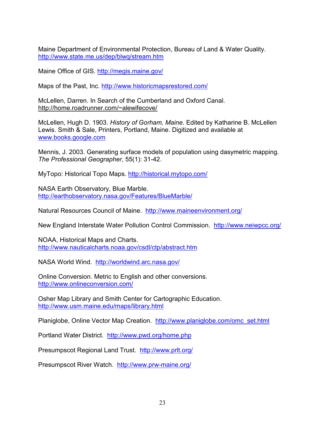Maine Department of Environmental Protection, Bureau of Land & Water Quality. http://www.state.me.us/dep/blwq/stream.htm

Maine Office of GIS. http://megis.maine.gov/

Maps of the Past, Inc. http://www.historicmapsrestored.com/

McLellen, Darren. In Search of the Cumberland and Oxford Canal. http://home.roadrunner.com/~alewifecove/

McLellen, Hugh D. 1903. History of Gorham, Maine. Edited by Katharine B. McLellen Lewis. Smith & Sale, Printers, Portland, Maine. Digitized and available at www.books.google.com

Mennis, J. 2003. Generating surface models of population using dasymetric mapping. The Professional Geographer, 55(1): 31-42.

MyTopo: Historical Topo Maps. http://historical.mytopo.com/

NASA Earth Observatory, Blue Marble. http://earthobservatory.nasa.gov/Features/BlueMarble/

Natural Resources Council of Maine. http://www.maineenvironment.org/

New England Interstate Water Pollution Control Commission. http://www.neiwpcc.org/

NOAA, Historical Maps and Charts. http://www.nauticalcharts.noaa.gov/csdl/ctp/abstract.htm

NASA World Wind. http://worldwind.arc.nasa.gov/

Online Conversion. Metric to English and other conversions. http://www.onlineconversion.com/

Osher Map Library and Smith Center for Cartographic Education. http://www.usm.maine.edu/maps/library.html

Planiglobe, Online Vector Map Creation. http://www.planiglobe.com/omc\_set.html

Portland Water District. http://www.pwd.org/home.php

Presumpscot Regional Land Trust. http://www.prlt.org/

Presumpscot River Watch. http://www.prw-maine.org/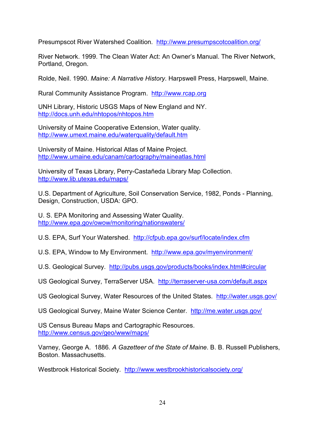Presumpscot River Watershed Coalition. http://www.presumpscotcoalition.org/

River Network. 1999. The Clean Water Act: An Owner's Manual. The River Network, Portland, Oregon.

Rolde, Neil. 1990. Maine: A Narrative History. Harpswell Press, Harpswell, Maine.

Rural Community Assistance Program. http://www.rcap.org

UNH Library, Historic USGS Maps of New England and NY. http://docs.unh.edu/nhtopos/nhtopos.htm

University of Maine Cooperative Extension, Water quality. http://www.umext.maine.edu/waterquality/default.htm

University of Maine. Historical Atlas of Maine Project. http://www.umaine.edu/canam/cartography/maineatlas.html

University of Texas Library, Perry-Castañeda Library Map Collection. http://www.lib.utexas.edu/maps/

U.S. Department of Agriculture, Soil Conservation Service, 1982, Ponds - Planning, Design, Construction, USDA: GPO.

U. S. EPA Monitoring and Assessing Water Quality. http://www.epa.gov/owow/monitoring/nationswaters/

U.S. EPA, Surf Your Watershed. http://cfpub.epa.gov/surf/locate/index.cfm

U.S. EPA, Window to My Environment. http://www.epa.gov/myenvironment/

U.S. Geological Survey. http://pubs.usgs.gov/products/books/index.html#circular

US Geological Survey, TerraServer USA. http://terraserver-usa.com/default.aspx

US Geological Survey, Water Resources of the United States. http://water.usgs.gov/

US Geological Survey, Maine Water Science Center. http://me.water.usgs.gov/

US Census Bureau Maps and Cartographic Resources. http://www.census.gov/geo/www/maps/

Varney, George A. 1886. A Gazetteer of the State of Maine. B. B. Russell Publishers, Boston. Massachusetts.

Westbrook Historical Society. http://www.westbrookhistoricalsociety.org/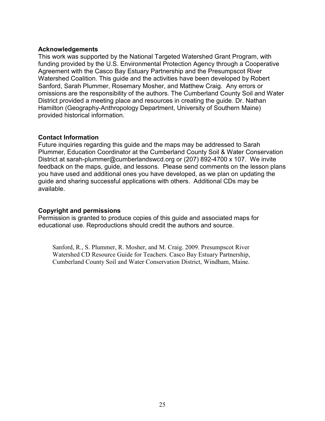#### Acknowledgements

This work was supported by the National Targeted Watershed Grant Program, with funding provided by the U.S. Environmental Protection Agency through a Cooperative Agreement with the Casco Bay Estuary Partnership and the Presumpscot River Watershed Coalition. This guide and the activities have been developed by Robert Sanford, Sarah Plummer, Rosemary Mosher, and Matthew Craig. Any errors or omissions are the responsibility of the authors. The Cumberland County Soil and Water District provided a meeting place and resources in creating the guide. Dr. Nathan Hamilton (Geography-Anthropology Department, University of Southern Maine) provided historical information.

#### Contact Information

Future inquiries regarding this guide and the maps may be addressed to Sarah Plummer, Education Coordinator at the Cumberland County Soil & Water Conservation District at sarah-plummer@cumberlandswcd.org or (207) 892-4700 x 107. We invite feedback on the maps, guide, and lessons. Please send comments on the lesson plans you have used and additional ones you have developed, as we plan on updating the guide and sharing successful applications with others. Additional CDs may be available.

#### Copyright and permissions

Permission is granted to produce copies of this guide and associated maps for educational use. Reproductions should credit the authors and source.

Sanford, R., S. Plummer, R. Mosher, and M. Craig. 2009. Presumpscot River Watershed CD Resource Guide for Teachers. Casco Bay Estuary Partnership, Cumberland County Soil and Water Conservation District, Windham, Maine.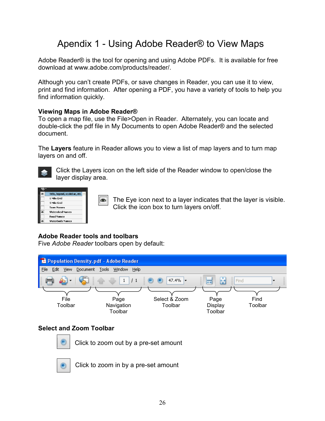# Apendix 1 - Using Adobe Reader® to View Maps

Adobe Reader® is the tool for opening and using Adobe PDFs. It is available for free download at www.adobe.com/products/reader/.

Although you can't create PDFs, or save changes in Reader, you can use it to view, print and find information. After opening a PDF, you have a variety of tools to help you find information quickly.

### Viewing Maps in Adobe Reader®

To open a map file, use the File>Open in Reader. Alternately, you can locate and double-click the pdf file in My Documents to open Adobe Reader® and the selected document.

The Layers feature in Reader allows you to view a list of map layers and to turn map layers on and off.



Click the Layers icon on the left side of the Reader window to open/close the layer display area.



The Eye icon next to a layer indicates that the layer is visible. on. Click the icon box to turn layers on/off.

### Adobe Reader tools and toolbars

Five Adobe Reader toolbars open by default:

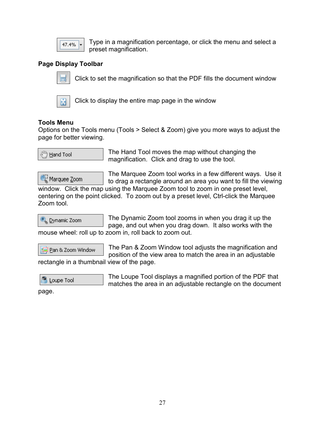

Type in a magnification percentage, or click the menu and select a preset magnification.

## Page Display Toolbar



Click to set the magnification so that the PDF fills the document window



Click to display the entire map page in the window

## Tools Menu

Options on the Tools menu (Tools > Select & Zoom) give you more ways to adjust the page for better viewing.

<sup>ද</sup>්/ි <u>H</u>and Tool

The Hand Tool moves the map without changing the magnification. Click and drag to use the tool.

Marquee <u>Z</u>oom

The Marquee Zoom tool works in a few different ways. Use it to drag a rectangle around an area you want to fill the viewing

window. Click the map using the Marquee Zoom tool to zoom in one preset level, centering on the point clicked. To zoom out by a preset level, Ctrl-click the Marquee Zoom tool.



The Dynamic Zoom tool zooms in when you drag it up the page, and out when you drag down. It also works with the mouse wheel: roll up to zoom in, roll back to zoom out.

Pan & Zoom Window

The Pan & Zoom Window tool adjusts the magnification and position of the view area to match the area in an adjustable

rectangle in a thumbnail view of the page.



The Loupe Tool displays a magnified portion of the PDF that matches the area in an adjustable rectangle on the document

page.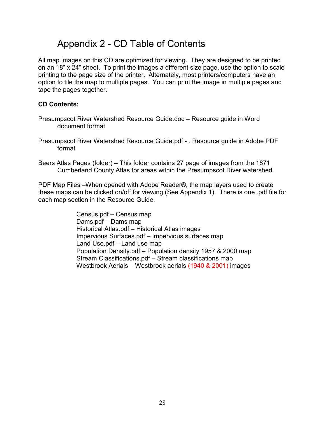## Appendix 2 - CD Table of Contents

All map images on this CD are optimized for viewing. They are designed to be printed on an 18" x 24" sheet. To print the images a different size page, use the option to scale printing to the page size of the printer. Alternately, most printers/computers have an option to tile the map to multiple pages. You can print the image in multiple pages and tape the pages together.

### CD Contents:

- Presumpscot River Watershed Resource Guide.doc Resource guide in Word document format
- Presumpscot River Watershed Resource Guide.pdf . Resource guide in Adobe PDF format
- Beers Atlas Pages (folder) This folder contains 27 page of images from the 1871 Cumberland County Atlas for areas within the Presumpscot River watershed.

PDF Map Files –When opened with Adobe Reader®, the map layers used to create these maps can be clicked on/off for viewing (See Appendix 1). There is one .pdf file for each map section in the Resource Guide.

> Census.pdf – Census map Dams.pdf – Dams map Historical Atlas.pdf – Historical Atlas images Impervious Surfaces.pdf – Impervious surfaces map Land Use.pdf – Land use map Population Density.pdf – Population density 1957 & 2000 map Stream Classifications.pdf – Stream classifications map Westbrook Aerials – Westbrook aerials (1940 & 2001) images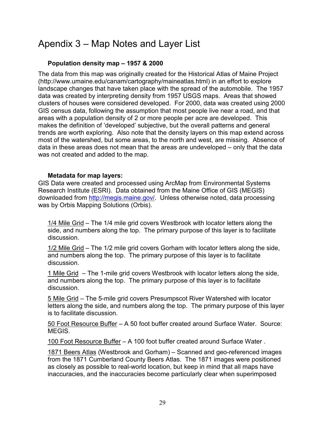# Apendix 3 – Map Notes and Layer List

## Population density map – 1957 & 2000

The data from this map was originally created for the Historical Atlas of Maine Project (http://www.umaine.edu/canam/cartography/maineatlas.html) in an effort to explore landscape changes that have taken place with the spread of the automobile. The 1957 data was created by interpreting density from 1957 USGS maps. Areas that showed clusters of houses were considered developed. For 2000, data was created using 2000 GIS census data, following the assumption that most people live near a road, and that areas with a population density of 2 or more people per acre are developed. This makes the definition of 'developed' subjective, but the overall patterns and general trends are worth exploring. Also note that the density layers on this map extend across most of the watershed, but some areas, to the north and west, are missing. Absence of data in these areas does not mean that the areas are undeveloped – only that the data was not created and added to the map.

### Metadata for map layers:

GIS Data were created and processed using ArcMap from Environmental Systems Research Institute (ESRI). Data obtained from the Maine Office of GIS (MEGIS) downloaded from http://megis.maine.gov/. Unless otherwise noted, data processing was by Orbis Mapping Solutions (Orbis).

1/4 Mile Grid – The 1/4 mile grid covers Westbrook with locator letters along the side, and numbers along the top. The primary purpose of this layer is to facilitate discussion.

1/2 Mile Grid – The 1/2 mile grid covers Gorham with locator letters along the side, and numbers along the top. The primary purpose of this layer is to facilitate discussion.

1 Mile Grid – The 1-mile grid covers Westbrook with locator letters along the side, and numbers along the top. The primary purpose of this layer is to facilitate discussion.

5 Mile Grid – The 5-mile grid covers Presumpscot River Watershed with locator letters along the side, and numbers along the top. The primary purpose of this layer is to facilitate discussion.

50 Foot Resource Buffer – A 50 foot buffer created around Surface Water. Source: MEGIS.

100 Foot Resource Buffer – A 100 foot buffer created around Surface Water .

1871 Beers Atlas (Westbrook and Gorham) – Scanned and geo-referenced images from the 1871 Cumberland County Beers Atlas. The 1871 images were positioned as closely as possible to real-world location, but keep in mind that all maps have inaccuracies, and the inaccuracies become particularly clear when superimposed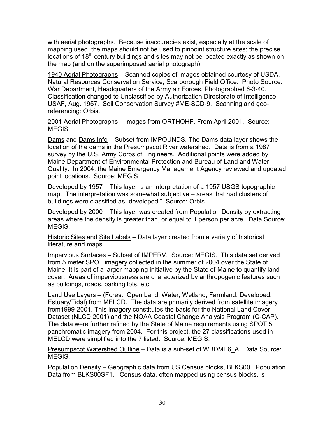with aerial photographs. Because inaccuracies exist, especially at the scale of mapping used, the maps should not be used to pinpoint structure sites; the precise locations of 18<sup>th</sup> century buildings and sites may not be located exactly as shown on the map (and on the superimposed aerial photograph).

1940 Aerial Photographs – Scanned copies of images obtained courtesy of USDA, Natural Resources Conservation Service, Scarborough Field Office. Photo Source: War Department, Headquarters of the Army air Forces, Photographed 6-3-40. Classification changed to Unclassified by Authorization Directorate of Intelligence, USAF, Aug. 1957. Soil Conservation Survey #ME-SCD-9. Scanning and georeferencing: Orbis.

2001 Aerial Photographs – Images from ORTHOHF. From April 2001. Source: MEGIS.

Dams and Dams Info – Subset from IMPOUNDS. The Dams data layer shows the location of the dams in the Presumpscot River watershed. Data is from a 1987 survey by the U.S. Army Corps of Engineers. Additional points were added by Maine Department of Environmental Protection and Bureau of Land and Water Quality. In 2004, the Maine Emergency Management Agency reviewed and updated point locations. Source: MEGIS

Developed by 1957 – This layer is an interpretation of a 1957 USGS topographic map. The interpretation was somewhat subjective – areas that had clusters of buildings were classified as "developed." Source: Orbis.

Developed by 2000 – This layer was created from Population Density by extracting areas where the density is greater than, or equal to 1 person per acre. Data Source: MEGIS.

Historic Sites and Site Labels – Data layer created from a variety of historical literature and maps.

Impervious Surfaces – Subset of IMPERV. Source: MEGIS. This data set derived from 5 meter SPOT imagery collected in the summer of 2004 over the State of Maine. It is part of a larger mapping initiative by the State of Maine to quantify land cover. Areas of imperviousness are characterized by anthropogenic features such as buildings, roads, parking lots, etc.

Land Use Layers – (Forest, Open Land, Water, Wetland, Farmland, Developed, Estuary/Tidal) from MELCD. The data are primarily derived from satellite imagery from1999-2001. This imagery constitutes the basis for the National Land Cover Dataset (NLCD 2001) and the NOAA Coastal Change Analysis Program (C-CAP). The data were further refined by the State of Maine requirements using SPOT 5 panchromatic imagery from 2004. For this project, the 27 classifications used in MELCD were simplified into the 7 listed. Source: MEGIS.

Presumpscot Watershed Outline – Data is a sub-set of WBDME6\_A. Data Source: **MEGIS** 

Population Density – Geographic data from US Census blocks, BLKS00. Population Data from BLKS00SF1. Census data, often mapped using census blocks, is